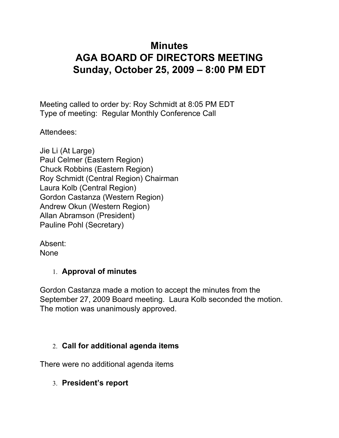# **Minutes AGA BOARD OF DIRECTORS MEETING Sunday, October 25, 2009 – 8:00 PM EDT**

Meeting called to order by: Roy Schmidt at 8:05 PM EDT Type of meeting: Regular Monthly Conference Call

Attendees:

| Jie Li (At Large)                     |
|---------------------------------------|
| Paul Celmer (Eastern Region)          |
| <b>Chuck Robbins (Eastern Region)</b> |
| Roy Schmidt (Central Region) Chairman |
| Laura Kolb (Central Region)           |
| Gordon Castanza (Western Region)      |
| Andrew Okun (Western Region)          |
| Allan Abramson (President)            |
| Pauline Pohl (Secretary)              |
|                                       |

Absent: None

#### 1. **Approval of minutes**

Gordon Castanza made a motion to accept the minutes from the September 27, 2009 Board meeting. Laura Kolb seconded the motion. The motion was unanimously approved.

## 2. **Call for additional agenda items**

There were no additional agenda items

3. **President's report**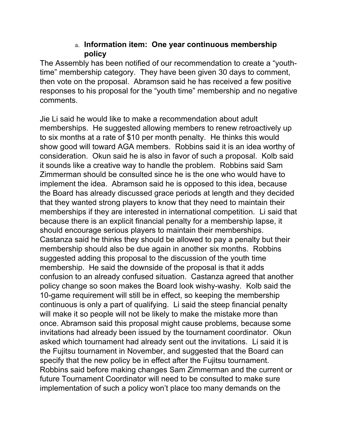#### a. **Information item: One year continuous membership policy**

The Assembly has been notified of our recommendation to create a "youthtime" membership category. They have been given 30 days to comment, then vote on the proposal. Abramson said he has received a few positive responses to his proposal for the "youth time" membership and no negative comments.

Jie Li said he would like to make a recommendation about adult memberships. He suggested allowing members to renew retroactively up to six months at a rate of \$10 per month penalty. He thinks this would show good will toward AGA members. Robbins said it is an idea worthy of consideration. Okun said he is also in favor of such a proposal. Kolb said it sounds like a creative way to handle the problem. Robbins said Sam Zimmerman should be consulted since he is the one who would have to implement the idea. Abramson said he is opposed to this idea, because the Board has already discussed grace periods at length and they decided that they wanted strong players to know that they need to maintain their memberships if they are interested in international competition. Li said that because there is an explicit financial penalty for a membership lapse, it should encourage serious players to maintain their memberships. Castanza said he thinks they should be allowed to pay a penalty but their membership should also be due again in another six months. Robbins suggested adding this proposal to the discussion of the youth time membership. He said the downside of the proposal is that it adds confusion to an already confused situation. Castanza agreed that another policy change so soon makes the Board look wishy-washy. Kolb said the 10-game requirement will still be in effect, so keeping the membership continuous is only a part of qualifying. Li said the steep financial penalty will make it so people will not be likely to make the mistake more than once. Abramson said this proposal might cause problems, because some invitations had already been issued by the tournament coordinator. Okun asked which tournament had already sent out the invitations. Li said it is the Fujitsu tournament in November, and suggested that the Board can specify that the new policy be in effect after the Fujitsu tournament. Robbins said before making changes Sam Zimmerman and the current or future Tournament Coordinator will need to be consulted to make sure implementation of such a policy won't place too many demands on the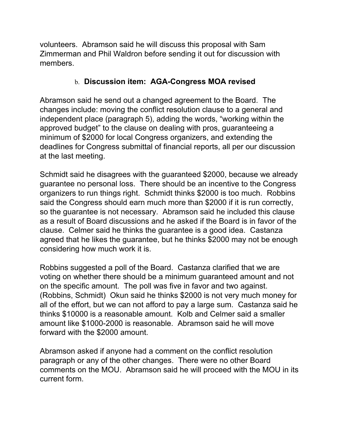volunteers. Abramson said he will discuss this proposal with Sam Zimmerman and Phil Waldron before sending it out for discussion with members.

#### b. **Discussion item: AGA-Congress MOA revised**

Abramson said he send out a changed agreement to the Board. The changes include: moving the conflict resolution clause to a general and independent place (paragraph 5), adding the words, "working within the approved budget" to the clause on dealing with pros, guaranteeing a minimum of \$2000 for local Congress organizers, and extending the deadlines for Congress submittal of financial reports, all per our discussion at the last meeting.

Schmidt said he disagrees with the guaranteed \$2000, because we already guarantee no personal loss. There should be an incentive to the Congress organizers to run things right. Schmidt thinks \$2000 is too much. Robbins said the Congress should earn much more than \$2000 if it is run correctly, so the guarantee is not necessary. Abramson said he included this clause as a result of Board discussions and he asked if the Board is in favor of the clause. Celmer said he thinks the guarantee is a good idea. Castanza agreed that he likes the guarantee, but he thinks \$2000 may not be enough considering how much work it is.

Robbins suggested a poll of the Board. Castanza clarified that we are voting on whether there should be a minimum guaranteed amount and not on the specific amount. The poll was five in favor and two against. (Robbins, Schmidt) Okun said he thinks \$2000 is not very much money for all of the effort, but we can not afford to pay a large sum. Castanza said he thinks \$10000 is a reasonable amount. Kolb and Celmer said a smaller amount like \$1000-2000 is reasonable. Abramson said he will move forward with the \$2000 amount.

Abramson asked if anyone had a comment on the conflict resolution paragraph or any of the other changes. There were no other Board comments on the MOU. Abramson said he will proceed with the MOU in its current form.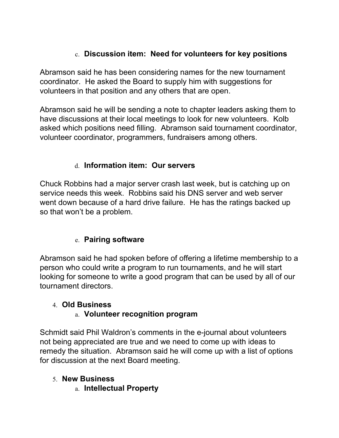# c. **Discussion item: Need for volunteers for key positions**

Abramson said he has been considering names for the new tournament coordinator. He asked the Board to supply him with suggestions for volunteers in that position and any others that are open.

Abramson said he will be sending a note to chapter leaders asking them to have discussions at their local meetings to look for new volunteers. Kolb asked which positions need filling. Abramson said tournament coordinator, volunteer coordinator, programmers, fundraisers among others.

## d. **Information item: Our servers**

Chuck Robbins had a major server crash last week, but is catching up on service needs this week. Robbins said his DNS server and web server went down because of a hard drive failure. He has the ratings backed up so that won't be a problem.

## e. **Pairing software**

Abramson said he had spoken before of offering a lifetime membership to a person who could write a program to run tournaments, and he will start looking for someone to write a good program that can be used by all of our tournament directors.

## 4. **Old Business**

## a. **Volunteer recognition program**

Schmidt said Phil Waldron's comments in the e-journal about volunteers not being appreciated are true and we need to come up with ideas to remedy the situation. Abramson said he will come up with a list of options for discussion at the next Board meeting.

#### 5. **New Business**

a. **Intellectual Property**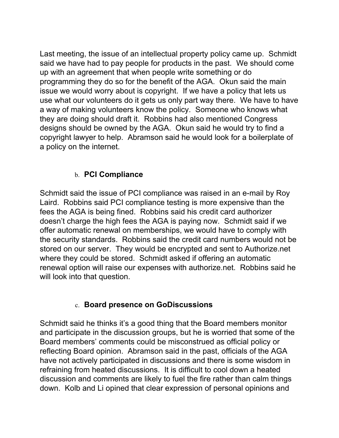Last meeting, the issue of an intellectual property policy came up. Schmidt said we have had to pay people for products in the past. We should come up with an agreement that when people write something or do programming they do so for the benefit of the AGA. Okun said the main issue we would worry about is copyright. If we have a policy that lets us use what our volunteers do it gets us only part way there. We have to have a way of making volunteers know the policy. Someone who knows what they are doing should draft it. Robbins had also mentioned Congress designs should be owned by the AGA. Okun said he would try to find a copyright lawyer to help. Abramson said he would look for a boilerplate of a policy on the internet.

## b. **PCI Compliance**

Schmidt said the issue of PCI compliance was raised in an e-mail by Roy Laird. Robbins said PCI compliance testing is more expensive than the fees the AGA is being fined. Robbins said his credit card authorizer doesn't charge the high fees the AGA is paying now. Schmidt said if we offer automatic renewal on memberships, we would have to comply with the security standards. Robbins said the credit card numbers would not be stored on our server. They would be encrypted and sent to Authorize.net where they could be stored. Schmidt asked if offering an automatic renewal option will raise our expenses with authorize.net. Robbins said he will look into that question.

#### c. **Board presence on GoDiscussions**

Schmidt said he thinks it's a good thing that the Board members monitor and participate in the discussion groups, but he is worried that some of the Board members' comments could be misconstrued as official policy or reflecting Board opinion. Abramson said in the past, officials of the AGA have not actively participated in discussions and there is some wisdom in refraining from heated discussions. It is difficult to cool down a heated discussion and comments are likely to fuel the fire rather than calm things down. Kolb and Li opined that clear expression of personal opinions and